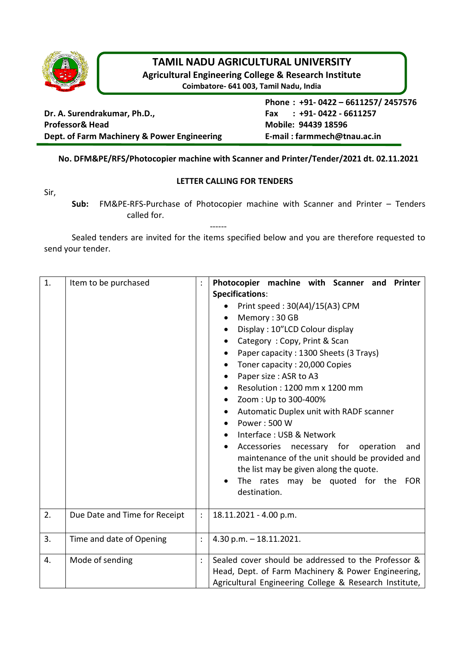

# **TAMIL NADU AGRICULTURAL UNIVERSITY**

**Agricultural Engineering College & Research Institute**

**Coimbatore- 641 003, Tamil Nadu, India**

**Dr. A. Surendrakumar, Ph.D., Fax : +91- 0422 - 6611257 Professor& Head Mobile: 94439 18596 Dept. of Farm Machinery & Power Engineering E-mail : farmmech@tnau.ac.in**

**Phone : +91- 0422 – 6611257/ 2457576** 

## **No. DFM&PE/RFS/Photocopier machine with Scanner and Printer/Tender/2021 dt. 02.11.2021**

#### **LETTER CALLING FOR TENDERS**

Sir,

**Sub:** FM&PE-RFS-Purchase of Photocopier machine with Scanner and Printer – Tenders called for.

Sealed tenders are invited for the items specified below and you are therefore requested to send your tender.

------

| 1. | Item to be purchased          |                | Photocopier machine with Scanner and<br><b>Printer</b><br>Specifications:<br>Print speed: 30(A4)/15(A3) CPM<br>Memory: 30 GB<br>$\bullet$<br>Display: 10"LCD Colour display<br>$\bullet$<br>Category: Copy, Print & Scan<br>Paper capacity: 1300 Sheets (3 Trays)<br>Toner capacity: 20,000 Copies<br>$\bullet$<br>Paper size : ASR to A3<br>$\bullet$<br>Resolution: 1200 mm x 1200 mm<br>Zoom: Up to 300-400%<br>Automatic Duplex unit with RADF scanner<br>$\bullet$<br>Power: 500 W<br>Interface: USB & Network<br>Accessories necessary for operation<br>and<br>maintenance of the unit should be provided and<br>the list may be given along the quote.<br>The rates may be quoted for the FOR<br>destination. |  |
|----|-------------------------------|----------------|----------------------------------------------------------------------------------------------------------------------------------------------------------------------------------------------------------------------------------------------------------------------------------------------------------------------------------------------------------------------------------------------------------------------------------------------------------------------------------------------------------------------------------------------------------------------------------------------------------------------------------------------------------------------------------------------------------------------|--|
| 2. | Due Date and Time for Receipt |                | 18.11.2021 - 4.00 p.m.                                                                                                                                                                                                                                                                                                                                                                                                                                                                                                                                                                                                                                                                                               |  |
| 3. | Time and date of Opening      | $\ddot{\cdot}$ | $4.30$ p.m. $-18.11.2021$ .                                                                                                                                                                                                                                                                                                                                                                                                                                                                                                                                                                                                                                                                                          |  |
| 4. | Mode of sending               | $\vdots$       | Sealed cover should be addressed to the Professor &<br>Head, Dept. of Farm Machinery & Power Engineering,<br>Agricultural Engineering College & Research Institute,                                                                                                                                                                                                                                                                                                                                                                                                                                                                                                                                                  |  |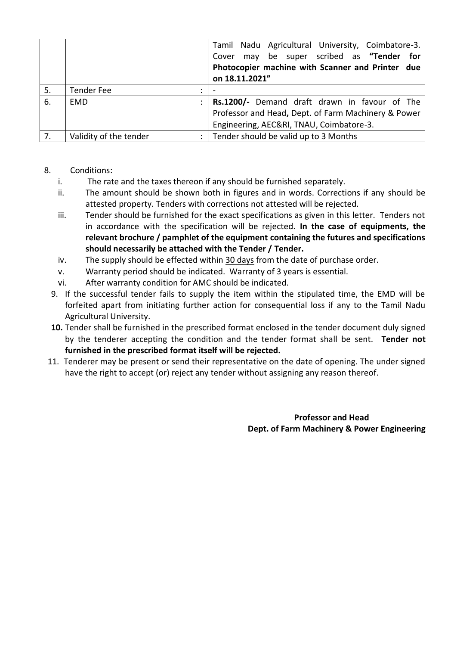|    |                        |                      | Tamil Nadu Agricultural University, Coimbatore-3.   |
|----|------------------------|----------------------|-----------------------------------------------------|
|    |                        |                      | Cover may be super scribed as "Tender for           |
|    |                        |                      | Photocopier machine with Scanner and Printer due    |
|    |                        |                      | on 18.11.2021"                                      |
| 5. | <b>Tender Fee</b>      | $\cdot$<br>$\bullet$ |                                                     |
| 6. | <b>EMD</b>             |                      | Rs.1200/- Demand draft drawn in favour of The       |
|    |                        |                      | Professor and Head, Dept. of Farm Machinery & Power |
|    |                        |                      | Engineering, AEC&RI, TNAU, Coimbatore-3.            |
| 7. | Validity of the tender | $\bullet$            | Tender should be valid up to 3 Months               |

## 8. Conditions:

- i. The rate and the taxes thereon if any should be furnished separately.
- ii. The amount should be shown both in figures and in words. Corrections if any should be attested property. Tenders with corrections not attested will be rejected.
- iii. Tender should be furnished for the exact specifications as given in this letter. Tenders not in accordance with the specification will be rejected. **In the case of equipments, the relevant brochure / pamphlet of the equipment containing the futures and specifications should necessarily be attached with the Tender / Tender.**
- iv. The supply should be effected within 30 days from the date of purchase order.
- v. Warranty period should be indicated. Warranty of 3 years is essential.
- vi. After warranty condition for AMC should be indicated.
- 9. If the successful tender fails to supply the item within the stipulated time, the EMD will be forfeited apart from initiating further action for consequential loss if any to the Tamil Nadu Agricultural University.
- **10.** Tender shall be furnished in the prescribed format enclosed in the tender document duly signed by the tenderer accepting the condition and the tender format shall be sent. **Tender not furnished in the prescribed format itself will be rejected.**
- 11. Tenderer may be present or send their representative on the date of opening. The under signed have the right to accept (or) reject any tender without assigning any reason thereof.

## **Professor and Head Dept. of Farm Machinery & Power Engineering**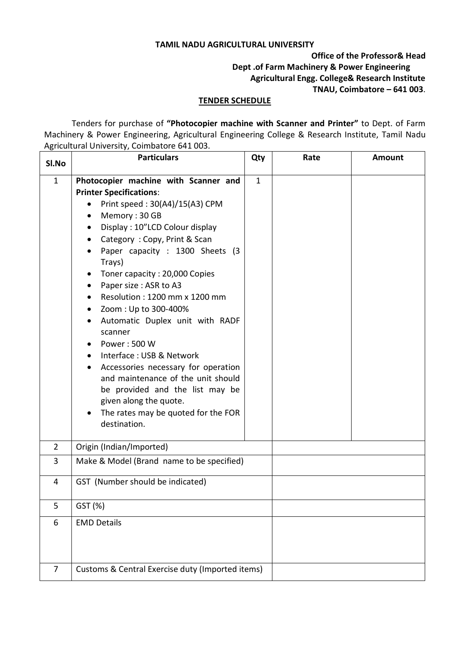#### **TAMIL NADU AGRICULTURAL UNIVERSITY**

## **Office of the Professor& Head Dept .of Farm Machinery & Power Engineering Agricultural Engg. College& Research Institute TNAU, Coimbatore – 641 003**.

#### **TENDER SCHEDULE**

Tenders for purchase of **"Photocopier machine with Scanner and Printer"** to Dept. of Farm Machinery & Power Engineering, Agricultural Engineering College & Research Institute, Tamil Nadu Agricultural University, Coimbatore 641 003.

| SI.No          | <b>Particulars</b>                                                                                                                                                                                                                                                                                                                                                                                                                                                                                                                                                                                                                                                                                               |              | Rate | <b>Amount</b> |  |  |
|----------------|------------------------------------------------------------------------------------------------------------------------------------------------------------------------------------------------------------------------------------------------------------------------------------------------------------------------------------------------------------------------------------------------------------------------------------------------------------------------------------------------------------------------------------------------------------------------------------------------------------------------------------------------------------------------------------------------------------------|--------------|------|---------------|--|--|
| $\mathbf{1}$   | Photocopier machine with Scanner and<br><b>Printer Specifications:</b><br>Print speed: 30(A4)/15(A3) CPM<br>Memory: 30 GB<br>Display: 10"LCD Colour display<br>Category: Copy, Print & Scan<br>Paper capacity : 1300 Sheets (3<br>Trays)<br>Toner capacity: 20,000 Copies<br>٠<br>Paper size : ASR to A3<br>Resolution: 1200 mm x 1200 mm<br>Zoom: Up to 300-400%<br>Automatic Duplex unit with RADF<br>$\bullet$<br>scanner<br>Power: 500 W<br>Interface: USB & Network<br>$\bullet$<br>Accessories necessary for operation<br>$\bullet$<br>and maintenance of the unit should<br>be provided and the list may be<br>given along the quote.<br>The rates may be quoted for the FOR<br>$\bullet$<br>destination. | $\mathbf{1}$ |      |               |  |  |
| $2^{\circ}$    | Origin (Indian/Imported)                                                                                                                                                                                                                                                                                                                                                                                                                                                                                                                                                                                                                                                                                         |              |      |               |  |  |
| 3              | Make & Model (Brand name to be specified)                                                                                                                                                                                                                                                                                                                                                                                                                                                                                                                                                                                                                                                                        |              |      |               |  |  |
| 4              | GST (Number should be indicated)                                                                                                                                                                                                                                                                                                                                                                                                                                                                                                                                                                                                                                                                                 |              |      |               |  |  |
| 5              | GST (%)                                                                                                                                                                                                                                                                                                                                                                                                                                                                                                                                                                                                                                                                                                          |              |      |               |  |  |
| 6              | <b>EMD Details</b>                                                                                                                                                                                                                                                                                                                                                                                                                                                                                                                                                                                                                                                                                               |              |      |               |  |  |
| $\overline{7}$ | Customs & Central Exercise duty (Imported items)                                                                                                                                                                                                                                                                                                                                                                                                                                                                                                                                                                                                                                                                 |              |      |               |  |  |